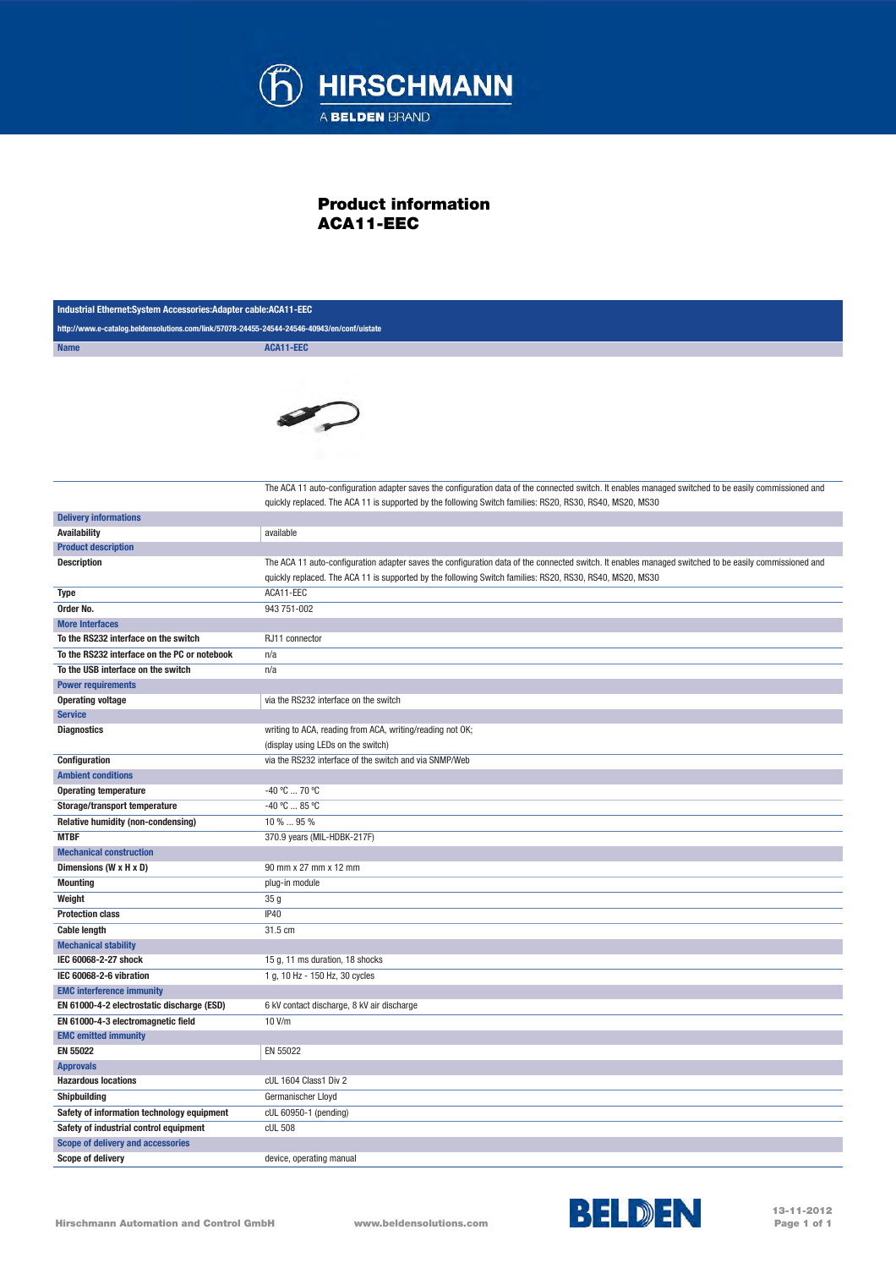

## Product information ACA11-EEC

| Industrial Ethernet:System Accessories:Adapter cable:ACA11-EEC                              |                                                                                                                                                       |
|---------------------------------------------------------------------------------------------|-------------------------------------------------------------------------------------------------------------------------------------------------------|
| http://www.e-catalog.beldensolutions.com/link/57078-24455-24544-24546-40943/en/conf/uistate |                                                                                                                                                       |
| <b>Name</b>                                                                                 | ACA11-EEC                                                                                                                                             |
|                                                                                             |                                                                                                                                                       |
|                                                                                             |                                                                                                                                                       |
|                                                                                             |                                                                                                                                                       |
|                                                                                             |                                                                                                                                                       |
|                                                                                             |                                                                                                                                                       |
|                                                                                             |                                                                                                                                                       |
|                                                                                             |                                                                                                                                                       |
|                                                                                             |                                                                                                                                                       |
|                                                                                             | The ACA 11 auto-configuration adapter saves the configuration data of the connected switch. It enables managed switched to be easily commissioned and |
|                                                                                             | quickly replaced. The ACA 11 is supported by the following Switch families: RS20, RS30, RS40, MS20, MS30                                              |
| <b>Delivery informations</b><br><b>Availability</b>                                         | available                                                                                                                                             |
| <b>Product description</b>                                                                  |                                                                                                                                                       |
| <b>Description</b>                                                                          | The ACA 11 auto-configuration adapter saves the configuration data of the connected switch. It enables managed switched to be easily commissioned and |
|                                                                                             | quickly replaced. The ACA 11 is supported by the following Switch families: RS20, RS30, RS40, MS20, MS30                                              |
| Type                                                                                        | ACA11-EEC                                                                                                                                             |
| Order No.                                                                                   | 943 751-002                                                                                                                                           |
| <b>More Interfaces</b>                                                                      |                                                                                                                                                       |
| To the RS232 interface on the switch                                                        | RJ11 connector                                                                                                                                        |
| To the RS232 interface on the PC or notebook                                                | n/a                                                                                                                                                   |
| To the USB interface on the switch                                                          | n/a                                                                                                                                                   |
| <b>Power requirements</b>                                                                   |                                                                                                                                                       |
| <b>Operating voltage</b>                                                                    | via the RS232 interface on the switch                                                                                                                 |
| <b>Service</b>                                                                              |                                                                                                                                                       |
| <b>Diagnostics</b>                                                                          | writing to ACA, reading from ACA, writing/reading not OK;                                                                                             |
|                                                                                             | (display using LEDs on the switch)                                                                                                                    |
| Configuration                                                                               | via the RS232 interface of the switch and via SNMP/Web                                                                                                |
| <b>Ambient conditions</b>                                                                   |                                                                                                                                                       |
| <b>Operating temperature</b>                                                                | -40 °C  70 °C                                                                                                                                         |
| Storage/transport temperature                                                               | $-40 °C  85 °C$                                                                                                                                       |
| Relative humidity (non-condensing)                                                          | 10 %  95 %                                                                                                                                            |
| <b>MTBF</b><br>370.9 years (MIL-HDBK-217F)                                                  |                                                                                                                                                       |
| <b>Mechanical construction</b>                                                              |                                                                                                                                                       |
| Dimensions (W x H x D)                                                                      | 90 mm x 27 mm x 12 mm                                                                                                                                 |
| <b>Mounting</b>                                                                             | plug-in module                                                                                                                                        |
| Weight<br><b>Protection class</b>                                                           | 35 <sub>g</sub><br>IP40                                                                                                                               |
| <b>Cable length</b>                                                                         | 31.5 cm                                                                                                                                               |
| <b>Mechanical stability</b>                                                                 |                                                                                                                                                       |
| IEC 60068-2-27 shock                                                                        | 15 g, 11 ms duration, 18 shocks                                                                                                                       |
| IEC 60068-2-6 vibration                                                                     | 1 g, 10 Hz - 150 Hz, 30 cycles                                                                                                                        |
| <b>EMC interference immunity</b>                                                            |                                                                                                                                                       |
| EN 61000-4-2 electrostatic discharge (ESD)                                                  | 6 kV contact discharge, 8 kV air discharge                                                                                                            |
| EN 61000-4-3 electromagnetic field                                                          | 10 V/m                                                                                                                                                |
| <b>EMC emitted immunity</b>                                                                 |                                                                                                                                                       |
| EN 55022                                                                                    | EN 55022                                                                                                                                              |
| <b>Approvals</b>                                                                            |                                                                                                                                                       |
| <b>Hazardous locations</b>                                                                  | cUL 1604 Class1 Div 2                                                                                                                                 |
| Shipbuilding                                                                                | Germanischer Lloyd                                                                                                                                    |
| Safety of information technology equipment                                                  | cUL 60950-1 (pending)                                                                                                                                 |
| Safety of industrial control equipment                                                      | cUL 508                                                                                                                                               |
| <b>Scope of delivery and accessories</b>                                                    |                                                                                                                                                       |
| <b>Scope of delivery</b>                                                                    | device, operating manual                                                                                                                              |